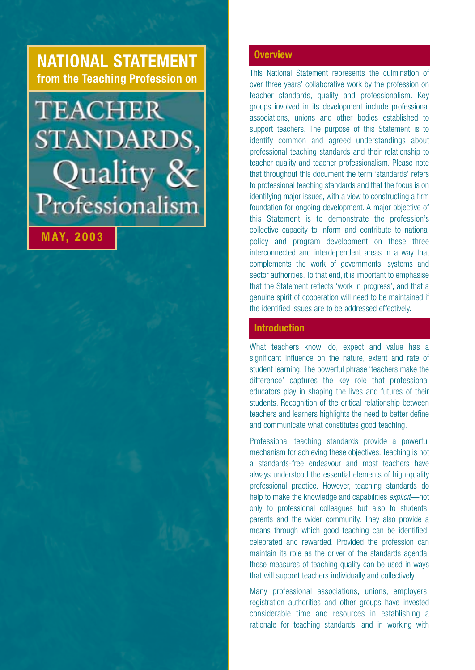## **NATIONAL STATEMENT from the Teaching Profession on**

# **TEACHER** STANDARDS, Quality & Professionalism

# **MAY, 2003**

**Overview**

This National Statement represents the culmination of over three years' collaborative work by the profession on teacher standards, quality and professionalism. Key groups involved in its development include professional associations, unions and other bodies established to support teachers. The purpose of this Statement is to identify common and agreed understandings about professional teaching standards and their relationship to teacher quality and teacher professionalism. Please note that throughout this document the term 'standards' refers to professional teaching standards and that the focus is on identifying major issues, with a view to constructing a firm foundation for ongoing development. A major objective of this Statement is to demonstrate the profession's collective capacity to inform and contribute to national policy and program development on these three interconnected and interdependent areas in a way that complements the work of governments, systems and sector authorities. To that end, it is important to emphasise that the Statement reflects 'work in progress', and that a genuine spirit of cooperation will need to be maintained if the identified issues are to be addressed effectively.

### **Introduction**

What teachers know, do, expect and value has a significant influence on the nature, extent and rate of student learning. The powerful phrase 'teachers make the difference' captures the key role that professional educators play in shaping the lives and futures of their students. Recognition of the critical relationship between teachers and learners highlights the need to better define and communicate what constitutes good teaching.

Professional teaching standards provide a powerful mechanism for achieving these objectives. Teaching is not a standards-free endeavour and most teachers have always understood the essential elements of high-quality professional practice. However, teaching standards do help to make the knowledge and capabilities *explicit*—not only to professional colleagues but also to students, parents and the wider community. They also provide a means through which good teaching can be identified, celebrated and rewarded. Provided the profession can maintain its role as the driver of the standards agenda, these measures of teaching quality can be used in ways that will support teachers individually and collectively.

Many professional associations, unions, employers, registration authorities and other groups have invested considerable time and resources in establishing a rationale for teaching standards, and in working with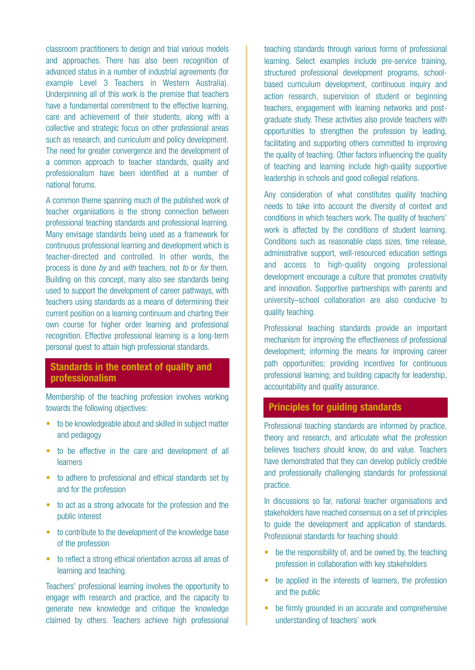classroom practitioners to design and trial various models and approaches. There has also been recognition of advanced status in a number of industrial agreements (for example Level 3 Teachers in Western Australia). Underpinning all of this work is the premise that teachers have a fundamental commitment to the effective learning, care and achievement of their students, along with a collective and strategic focus on other professional areas such as research, and curriculum and policy development. The need for greater convergence and the development of a common approach to teacher standards, quality and professionalism have been identified at a number of national forums.

A common theme spanning much of the published work of teacher organisations is the strong connection between professional teaching standards and professional learning. Many envisage standards being used as a framework for continuous professional learning and development which is teacher-directed and controlled. In other words, the process is done *by* and *with* teachers, not *to* or *for* them. Building on this concept, many also see standards being used to support the development of career pathways, with teachers using standards as a means of determining their current position on a learning continuum and charting their own course for higher order learning and professional recognition. Effective professional learning is a long-term personal quest to attain high professional standards.

### **Standards in the context of quality and professionalism**

Membership of the teaching profession involves working towards the following objectives:

- to be knowledgeable about and skilled in subject matter and pedagogy
- to be effective in the care and development of all learners
- to adhere to professional and ethical standards set by and for the profession
- to act as a strong advocate for the profession and the public interest
- to contribute to the development of the knowledge base of the profession
- to reflect a strong ethical orientation across all areas of learning and teaching.

Teachers' professional learning involves the opportunity to engage with research and practice, and the capacity to generate new knowledge and critique the knowledge claimed by others. Teachers achieve high professional

teaching standards through various forms of professional learning. Select examples include pre-service training, structured professional development programs, schoolbased curriculum development, continuous inquiry and action research, supervision of student or beginning teachers, engagement with learning networks and postgraduate study. These activities also provide teachers with opportunities to strengthen the profession by leading, facilitating and supporting others committed to improving the quality of teaching. Other factors influencing the quality of teaching and learning include high-quality supportive leadership in schools and good collegial relations.

Any consideration of what constitutes quality teaching needs to take into account the diversity of context and conditions in which teachers work. The quality of teachers' work is affected by the conditions of student learning. Conditions such as reasonable class sizes, time release, administrative support, well-resourced education settings and access to high-quality ongoing professional development encourage a culture that promotes creativity and innovation. Supportive partnerships with parents and university–school collaboration are also conducive to quality teaching.

Professional teaching standards provide an important mechanism for improving the effectiveness of professional development; informing the means for improving career path opportunities; providing incentives for continuous professional learning; and building capacity for leadership, accountability and quality assurance.

### **Principles for guiding standards**

Professional teaching standards are informed by practice, theory and research, and articulate what the profession believes teachers should know, do and value. Teachers have demonstrated that they can develop publicly credible and professionally challenging standards for professional practice.

In discussions so far, national teacher organisations and stakeholders have reached consensus on a set of principles to guide the development and application of standards. Professional standards for teaching should:

- be the responsibility of, and be owned by, the teaching profession in collaboration with key stakeholders
- be applied in the interests of learners, the profession and the public
- be firmly grounded in an accurate and comprehensive understanding of teachers' work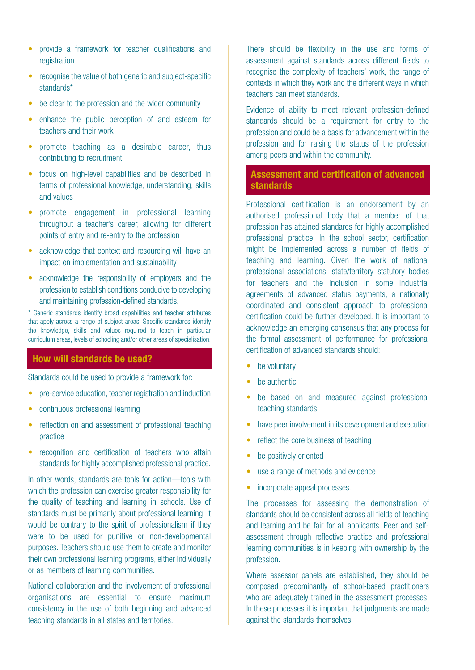- provide a framework for teacher qualifications and registration
- recognise the value of both generic and subject-specific standards\*
- be clear to the profession and the wider community
- enhance the public perception of and esteem for teachers and their work
- promote teaching as a desirable career, thus contributing to recruitment
- focus on high-level capabilities and be described in terms of professional knowledge, understanding, skills and values
- promote engagement in professional learning throughout a teacher's career, allowing for different points of entry and re-entry to the profession
- acknowledge that context and resourcing will have an impact on implementation and sustainability
- acknowledge the responsibility of employers and the profession to establish conditions conducive to developing and maintaining profession-defined standards.

\* Generic standards identify broad capabilities and teacher attributes that apply across a range of subject areas. Specific standards identify the knowledge, skills and values required to teach in particular curriculum areas, levels of schooling and/or other areas of specialisation.

### **How will standards be used?**

Standards could be used to provide a framework for:

- pre-service education, teacher registration and induction
- continuous professional learning
- reflection on and assessment of professional teaching practice
- recognition and certification of teachers who attain standards for highly accomplished professional practice.

In other words, standards are tools for action—tools with which the profession can exercise greater responsibility for the quality of teaching and learning in schools. Use of standards must be primarily about professional learning. It would be contrary to the spirit of professionalism if they were to be used for punitive or non-developmental purposes. Teachers should use them to create and monitor their own professional learning programs, either individually or as members of learning communities.

National collaboration and the involvement of professional organisations are essential to ensure maximum consistency in the use of both beginning and advanced teaching standards in all states and territories.

There should be flexibility in the use and forms of assessment against standards across different fields to recognise the complexity of teachers' work, the range of contexts in which they work and the different ways in which teachers can meet standards.

Evidence of ability to meet relevant profession-defined standards should be a requirement for entry to the profession and could be a basis for advancement within the profession and for raising the status of the profession among peers and within the community.

### **Assessment and certification of advanced standards**

Professional certification is an endorsement by an authorised professional body that a member of that profession has attained standards for highly accomplished professional practice. In the school sector, certification might be implemented across a number of fields of teaching and learning. Given the work of national professional associations, state/territory statutory bodies for teachers and the inclusion in some industrial agreements of advanced status payments, a nationally coordinated and consistent approach to professional certification could be further developed. It is important to acknowledge an emerging consensus that any process for the formal assessment of performance for professional certification of advanced standards should:

- be voluntary
- be authentic
- be based on and measured against professional teaching standards
- have peer involvement in its development and execution
- reflect the core business of teaching
- be positively oriented
- use a range of methods and evidence
- incorporate appeal processes.

The processes for assessing the demonstration of standards should be consistent across all fields of teaching and learning and be fair for all applicants. Peer and selfassessment through reflective practice and professional learning communities is in keeping with ownership by the profession.

Where assessor panels are established, they should be composed predominantly of school-based practitioners who are adequately trained in the assessment processes. In these processes it is important that judgments are made against the standards themselves.